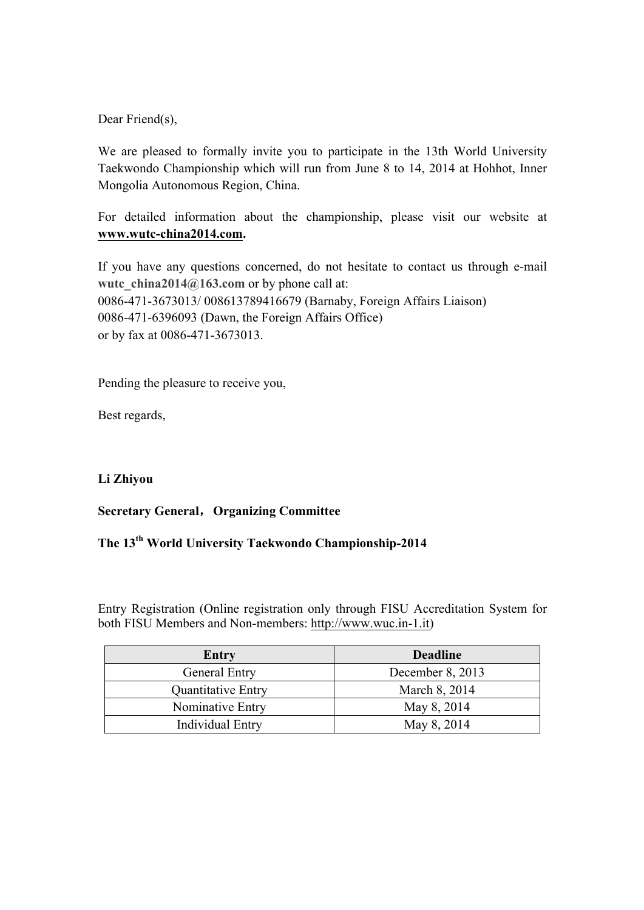Dear Friend(s),

We are pleased to formally invite you to participate in the 13th World University Taekwondo Championship which will run from June 8 to 14, 2014 at Hohhot, Inner Mongolia Autonomous Region, China.

For detailed information about the championship, please visit our website at **www.wutc-china2014.com.**

If you have any questions concerned, do not hesitate to contact us through e-mail wutc china2014@163.com or by phone call at: 0086-471-3673013/ 008613789416679 (Barnaby, Foreign Affairs Liaison) 0086-471-6396093 (Dawn, the Foreign Affairs Office) or by fax at 0086-471-3673013.

Pending the pleasure to receive you,

Best regards,

## **Li Zhiyou**

## **Secretary General**,**Organizing Committee**

# **The 13th World University Taekwondo Championship-2014**

Entry Registration (Online registration only through FISU Accreditation System for both FISU Members and Non-members: http://www.wuc.in-1.it)

| Entry                     | <b>Deadline</b>    |  |
|---------------------------|--------------------|--|
| General Entry             | December $8, 2013$ |  |
| <b>Quantitative Entry</b> | March 8, 2014      |  |
| Nominative Entry          | May 8, 2014        |  |
| Individual Entry          | May 8, 2014        |  |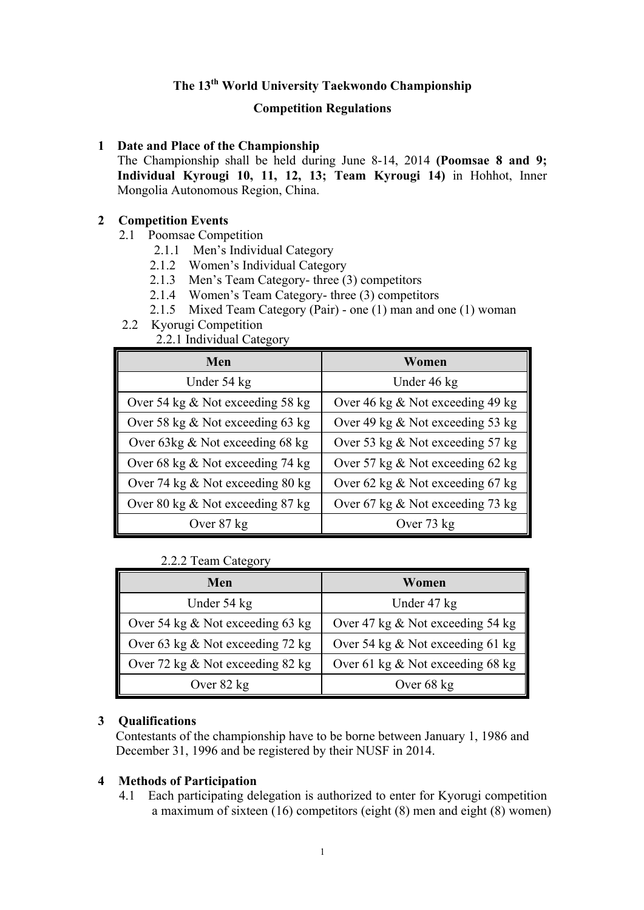# **The 13th World University Taekwondo Championship**

#### **Competition Regulations**

#### **1 Date and Place of the Championship**

The Championship shall be held during June 8-14, 2014 **(Poomsae 8 and 9; Individual Kyrougi 10, 11, 12, 13; Team Kyrougi 14)** in Hohhot, Inner Mongolia Autonomous Region, China.

#### **2 Competition Events**

- 2.1 Poomsae Competition
	- 2.1.1 Men's Individual Category
	- 2.1.2 Women's Individual Category
	- 2.1.3 Men's Team Category- three (3) competitors
	- 2.1.4 Women's Team Category- three (3) competitors
	- 2.1.5 Mixed Team Category (Pair) one (1) man and one (1) woman
- 2.2 Kyorugi Competition
	- 2.2.1 Individual Category

| Men                                 | Women                               |  |
|-------------------------------------|-------------------------------------|--|
| Under 54 kg                         | Under 46 kg                         |  |
| Over 54 kg $&$ Not exceeding 58 kg  | Over 46 kg $\&$ Not exceeding 49 kg |  |
| Over 58 kg $\&$ Not exceeding 63 kg | Over 49 kg $\&$ Not exceeding 53 kg |  |
| Over 63 $kg \&$ Not exceeding 68 kg | Over 53 kg $\&$ Not exceeding 57 kg |  |
| Over 68 kg $&$ Not exceeding 74 kg  | Over 57 kg $&$ Not exceeding 62 kg  |  |
| Over 74 kg $\&$ Not exceeding 80 kg | Over 62 kg $\&$ Not exceeding 67 kg |  |
| Over 80 kg $&$ Not exceeding 87 kg  | Over 67 kg $&$ Not exceeding 73 kg  |  |
| Over 87 kg                          | Over 73 kg                          |  |

## 2.2.2 Team Category

| Men                                 | Women                               |
|-------------------------------------|-------------------------------------|
| Under 54 kg                         | Under 47 kg                         |
| Over 54 kg $\&$ Not exceeding 63 kg | Over 47 kg $\&$ Not exceeding 54 kg |
| Over 63 kg $&$ Not exceeding 72 kg  | Over 54 kg $\&$ Not exceeding 61 kg |
| Over 72 kg $\&$ Not exceeding 82 kg | Over 61 kg $&$ Not exceeding 68 kg  |
| Over 82 kg                          | Over 68 kg                          |

## **3 Qualifications**

Contestants of the championship have to be borne between January 1, 1986 and December 31, 1996 and be registered by their NUSF in 2014.

#### **4 Methods of Participation**

4.1 Each participating delegation is authorized to enter for Kyorugi competition a maximum of sixteen (16) competitors (eight (8) men and eight (8) women)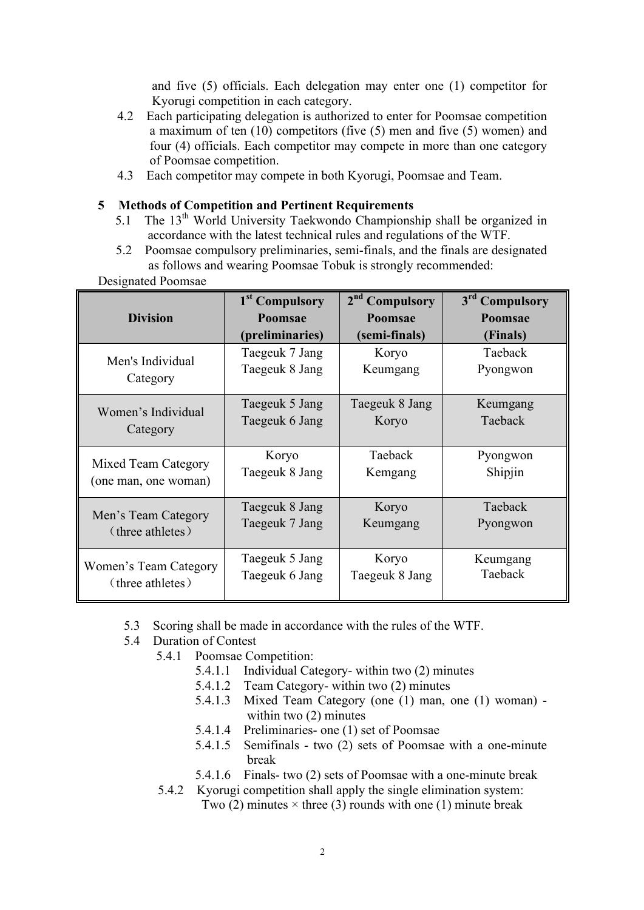and five (5) officials. Each delegation may enter one (1) competitor for Kyorugi competition in each category.

- 4.2 Each participating delegation is authorized to enter for Poomsae competition a maximum of ten (10) competitors (five (5) men and five (5) women) and four (4) officials. Each competitor may compete in more than one category of Poomsae competition.
- 4.3 Each competitor may compete in both Kyorugi, Poomsae and Team.

#### **5 Methods of Competition and Pertinent Requirements**

- 5.1 The 13<sup>th</sup> World University Taekwondo Championship shall be organized in accordance with the latest technical rules and regulations of the WTF.
- 5.2 Poomsae compulsory preliminaries, semi-finals, and the finals are designated as follows and wearing Poomsae Tobuk is strongly recommended:

|                                           | 1 <sup>st</sup> Compulsory | 2 <sup>nd</sup><br><b>Compulsory</b> | 3rd Compulsory |
|-------------------------------------------|----------------------------|--------------------------------------|----------------|
| <b>Division</b>                           | Poomsae                    | Poomsae                              | Poomsae        |
|                                           | (preliminaries)            | (semi-finals)                        | (Finals)       |
| Men's Individual                          | Taegeuk 7 Jang             | Koryo                                | Taeback        |
|                                           | Taegeuk 8 Jang             | Keumgang                             | Pyongwon       |
| Category                                  |                            |                                      |                |
| Women's Individual                        | Taegeuk 5 Jang             | Taegeuk 8 Jang                       | Keumgang       |
|                                           | Taegeuk 6 Jang             | Koryo                                | Taeback        |
| Category                                  |                            |                                      |                |
|                                           | Koryo                      | Taeback                              | Pyongwon       |
| Mixed Team Category                       | Taegeuk 8 Jang             | Kemgang                              | Shipjin        |
| (one man, one woman)                      |                            |                                      |                |
| Men's Team Category<br>(three athletes)   | Taegeuk 8 Jang             | Koryo                                | Taeback        |
|                                           | Taegeuk 7 Jang             | Keumgang                             | Pyongwon       |
|                                           |                            |                                      |                |
| Women's Team Category<br>(three athletes) | Taegeuk 5 Jang             | Koryo                                | Keumgang       |
|                                           | Taegeuk 6 Jang             | Taegeuk 8 Jang                       | Taeback        |
|                                           |                            |                                      |                |

Designated Poomsae

- 5.3 Scoring shall be made in accordance with the rules of the WTF.
- 5.4 Duration of Contest
	- 5.4.1 Poomsae Competition:
		- 5.4.1.1 Individual Category- within two (2) minutes
		- 5.4.1.2 Team Category- within two (2) minutes
		- 5.4.1.3 Mixed Team Category (one (1) man, one (1) woman) within two (2) minutes
		- 5.4.1.4 Preliminaries- one (1) set of Poomsae
		- 5.4.1.5 Semifinals two (2) sets of Poomsae with a one-minute break
		- 5.4.1.6 Finals- two (2) sets of Poomsae with a one-minute break
	- 5.4.2 Kyorugi competition shall apply the single elimination system: Two (2) minutes  $\times$  three (3) rounds with one (1) minute break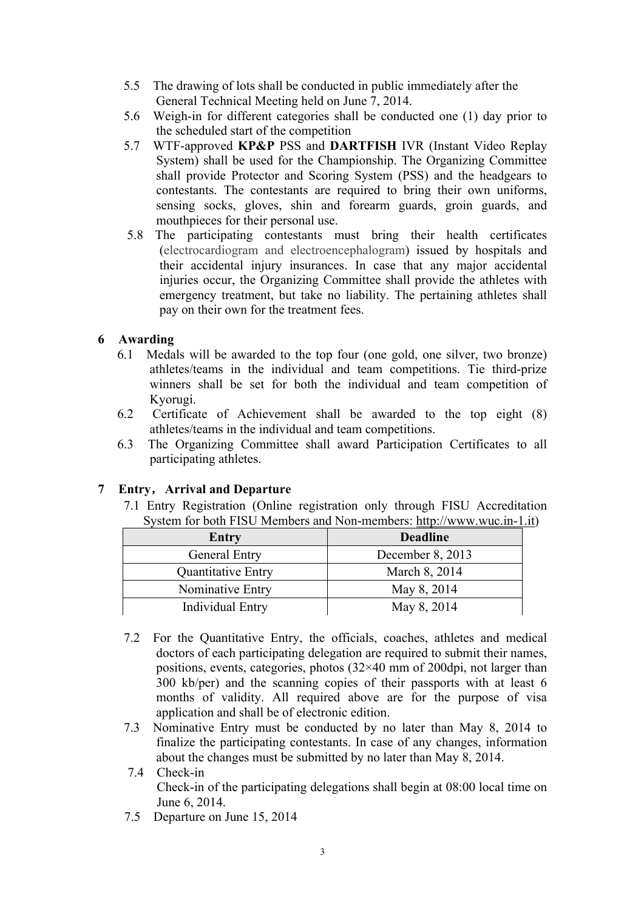- 5.5 The drawing of lots shall be conducted in public immediately after the General Technical Meeting held on June 7, 2014.
- 5.6 Weigh-in for different categories shall be conducted one (1) day prior to the scheduled start of the competition
- 5.7 WTF-approved **KP&P** PSS and **DARTFISH** IVR (Instant Video Replay System) shall be used for the Championship. The Organizing Committee shall provide Protector and Scoring System (PSS) and the headgears to contestants. The contestants are required to bring their own uniforms, sensing socks, gloves, shin and forearm guards, groin guards, and mouthpieces for their personal use.
- 5.8 The participating contestants must bring their health certificates (electrocardiogram and electroencephalogram) issued by hospitals and their accidental injury insurances. In case that any major accidental injuries occur, the Organizing Committee shall provide the athletes with emergency treatment, but take no liability. The pertaining athletes shall pay on their own for the treatment fees.

## **6 Awarding**

- 6.1 Medals will be awarded to the top four (one gold, one silver, two bronze) athletes/teams in the individual and team competitions. Tie third-prize winners shall be set for both the individual and team competition of Kyorugi.
- 6.2 Certificate of Achievement shall be awarded to the top eight (8) athletes/teams in the individual and team competitions.
- 6.3 The Organizing Committee shall award Participation Certificates to all participating athletes.

## **7 Entry**,**Arrival and Departure**

7.1 Entry Registration (Online registration only through FISU Accreditation System for both FISU Members and Non-members: http://www.wuc.in-1.it)

| Entry                     | <b>Deadline</b>  |
|---------------------------|------------------|
| <b>General Entry</b>      | December 8, 2013 |
| <b>Quantitative Entry</b> | March 8, 2014    |
| Nominative Entry          | May 8, 2014      |
| <b>Individual Entry</b>   | May 8, 2014      |

- 7.2 For the Quantitative Entry, the officials, coaches, athletes and medical doctors of each participating delegation are required to submit their names, positions, events, categories, photos  $(32\times40 \text{ mm of } 200 \text{dpi})$ , not larger than 300 kb/per) and the scanning copies of their passports with at least 6 months of validity. All required above are for the purpose of visa application and shall be of electronic edition.
- 7.3 Nominative Entry must be conducted by no later than May 8, 2014 to finalize the participating contestants. In case of any changes, information about the changes must be submitted by no later than May 8, 2014.
- 7.4 Check-in Check-in of the participating delegations shall begin at 08:00 local time on June 6, 2014.
- 7.5 Departure on June 15, 2014